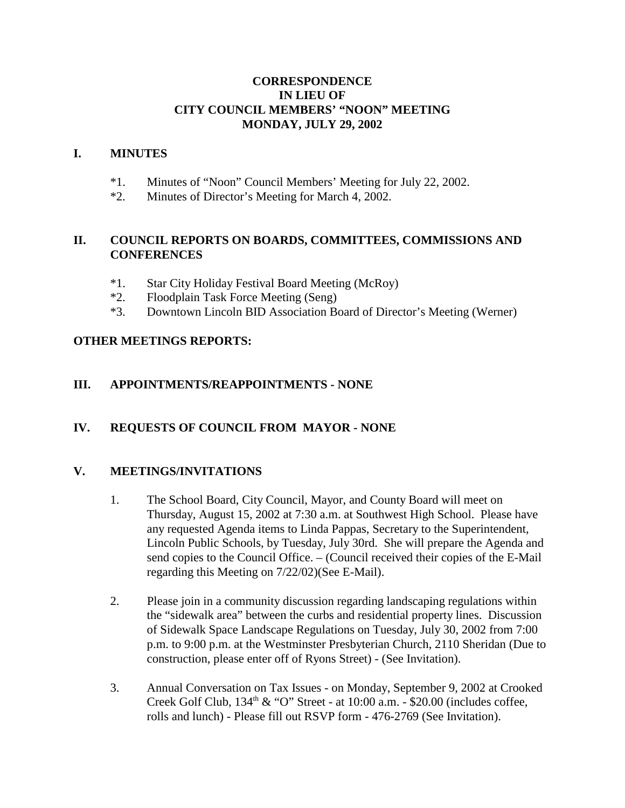#### **CORRESPONDENCE IN LIEU OF CITY COUNCIL MEMBERS' "NOON" MEETING MONDAY, JULY 29, 2002**

#### **I. MINUTES**

- \*1. Minutes of "Noon" Council Members' Meeting for July 22, 2002.
- \*2. Minutes of Director's Meeting for March 4, 2002.

### **II. COUNCIL REPORTS ON BOARDS, COMMITTEES, COMMISSIONS AND CONFERENCES**

- \*1. Star City Holiday Festival Board Meeting (McRoy)
- \*2. Floodplain Task Force Meeting (Seng)
- \*3. Downtown Lincoln BID Association Board of Director's Meeting (Werner)

### **OTHER MEETINGS REPORTS:**

### **III. APPOINTMENTS/REAPPOINTMENTS - NONE**

### **IV. REQUESTS OF COUNCIL FROM MAYOR - NONE**

### **V. MEETINGS/INVITATIONS**

- 1. The School Board, City Council, Mayor, and County Board will meet on Thursday, August 15, 2002 at 7:30 a.m. at Southwest High School. Please have any requested Agenda items to Linda Pappas, Secretary to the Superintendent, Lincoln Public Schools, by Tuesday, July 30rd. She will prepare the Agenda and send copies to the Council Office. – (Council received their copies of the E-Mail regarding this Meeting on 7/22/02)(See E-Mail).
- 2. Please join in a community discussion regarding landscaping regulations within the "sidewalk area" between the curbs and residential property lines. Discussion of Sidewalk Space Landscape Regulations on Tuesday, July 30, 2002 from 7:00 p.m. to 9:00 p.m. at the Westminster Presbyterian Church, 2110 Sheridan (Due to construction, please enter off of Ryons Street) - (See Invitation).
- 3. Annual Conversation on Tax Issues on Monday, September 9, 2002 at Crooked Creek Golf Club,  $134<sup>th</sup>$  & "O" Street - at  $10:00$  a.m. - \$20.00 (includes coffee, rolls and lunch) - Please fill out RSVP form - 476-2769 (See Invitation).